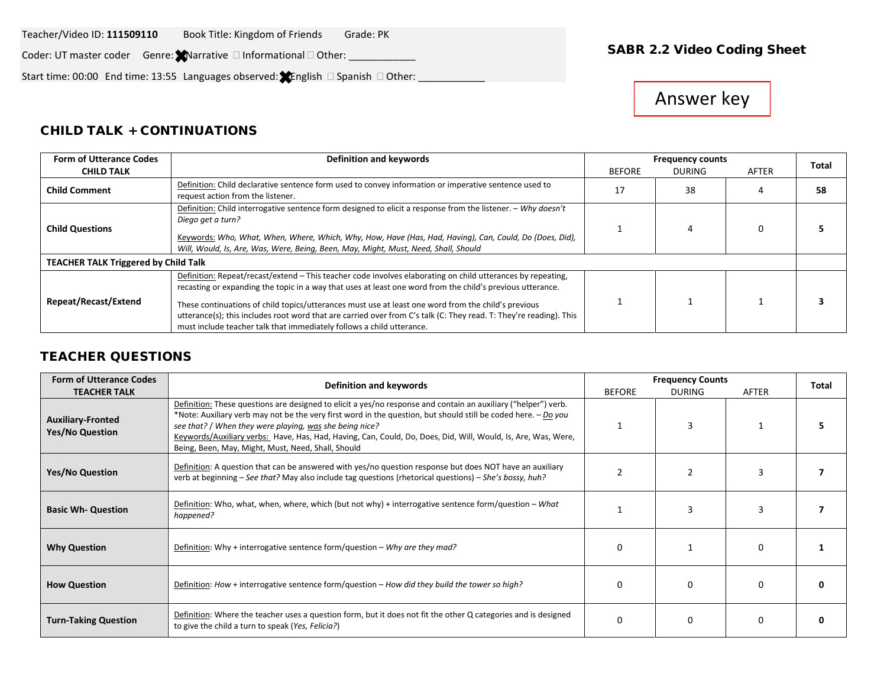#### Teacher/Video ID: 111509110 Book Title: Kingdom of Friends Grade: PK

Video ID: **111509110** SABR 2.2 Video Coding Sheet Coder: UT master coder Genre: Narrative Informational Other: \_\_\_\_\_\_\_\_\_\_\_\_

Start time: 00:00 End time: 13:55 Languages observed:  $\bigstar$  English  $\Box$  Spanish  $\Box$  Other: \_\_\_\_\_\_

# Answer key

#### CHILD TALK + CONTINUATIONS

| <b>Form of Utterance Codes</b>              | Definition and keywords                                                                                                                                                                                                                                                                                                                                                                                                                                                                                                         |               | <b>Frequency counts</b> |  | Total |
|---------------------------------------------|---------------------------------------------------------------------------------------------------------------------------------------------------------------------------------------------------------------------------------------------------------------------------------------------------------------------------------------------------------------------------------------------------------------------------------------------------------------------------------------------------------------------------------|---------------|-------------------------|--|-------|
| <b>CHILD TALK</b>                           | <b>BEFORE</b>                                                                                                                                                                                                                                                                                                                                                                                                                                                                                                                   | <b>DURING</b> | AFTER                   |  |       |
| <b>Child Comment</b>                        | Definition: Child declarative sentence form used to convey information or imperative sentence used to<br>request action from the listener.                                                                                                                                                                                                                                                                                                                                                                                      | 17            | 38                      |  | 58    |
| <b>Child Questions</b>                      | Definition: Child interrogative sentence form designed to elicit a response from the listener. - Why doesn't<br>Diego get a turn?<br>Keywords: Who, What, When, Where, Which, Why, How, Have (Has, Had, Having), Can, Could, Do (Does, Did),<br>Will, Would, Is, Are, Was, Were, Being, Been, May, Might, Must, Need, Shall, Should                                                                                                                                                                                             |               |                         |  |       |
| <b>TEACHER TALK Triggered by Child Talk</b> |                                                                                                                                                                                                                                                                                                                                                                                                                                                                                                                                 |               |                         |  |       |
| Repeat/Recast/Extend                        | Definition: Repeat/recast/extend - This teacher code involves elaborating on child utterances by repeating,<br>recasting or expanding the topic in a way that uses at least one word from the child's previous utterance.<br>These continuations of child topics/utterances must use at least one word from the child's previous<br>utterance(s); this includes root word that are carried over from C's talk (C: They read. T: They're reading). This<br>must include teacher talk that immediately follows a child utterance. |               |                         |  |       |

### TEACHER QUESTIONS

| <b>Form of Utterance Codes</b>                     | Definition and keywords                                                                                                                                                                                                                                                                                                                                                                                                                                            |               | <b>Frequency Counts</b> |          |              |  |
|----------------------------------------------------|--------------------------------------------------------------------------------------------------------------------------------------------------------------------------------------------------------------------------------------------------------------------------------------------------------------------------------------------------------------------------------------------------------------------------------------------------------------------|---------------|-------------------------|----------|--------------|--|
| <b>TEACHER TALK</b>                                |                                                                                                                                                                                                                                                                                                                                                                                                                                                                    | <b>BEFORE</b> | <b>DURING</b>           | AFTER    | <b>Total</b> |  |
| <b>Auxiliary-Fronted</b><br><b>Yes/No Question</b> | Definition: These questions are designed to elicit a yes/no response and contain an auxiliary ("helper") verb.<br>*Note: Auxiliary verb may not be the very first word in the question, but should still be coded here. - Do you<br>see that? / When they were playing, was she being nice?<br>Keywords/Auxiliary verbs: Have, Has, Had, Having, Can, Could, Do, Does, Did, Will, Would, Is, Are, Was, Were,<br>Being, Been, May, Might, Must, Need, Shall, Should |               |                         |          |              |  |
| <b>Yes/No Question</b>                             | Definition: A question that can be answered with yes/no question response but does NOT have an auxiliary<br>verb at beginning - See that? May also include tag questions (rhetorical questions) - She's bossy, huh?                                                                                                                                                                                                                                                |               |                         |          |              |  |
| <b>Basic Wh- Question</b>                          | Definition: Who, what, when, where, which (but not why) + interrogative sentence form/question - What<br>happened?                                                                                                                                                                                                                                                                                                                                                 |               |                         |          |              |  |
| <b>Why Question</b>                                | Definition: Why + interrogative sentence form/question – Why are they mad?                                                                                                                                                                                                                                                                                                                                                                                         | O             |                         | $\Omega$ |              |  |
| <b>How Question</b>                                | Definition: How + interrogative sentence form/question – How did they build the tower so high?                                                                                                                                                                                                                                                                                                                                                                     | n             |                         | n        |              |  |
| <b>Turn-Taking Question</b>                        | Definition: Where the teacher uses a question form, but it does not fit the other Q categories and is designed<br>to give the child a turn to speak (Yes, Felicia?)                                                                                                                                                                                                                                                                                                | $\Omega$      |                         | $\Omega$ |              |  |